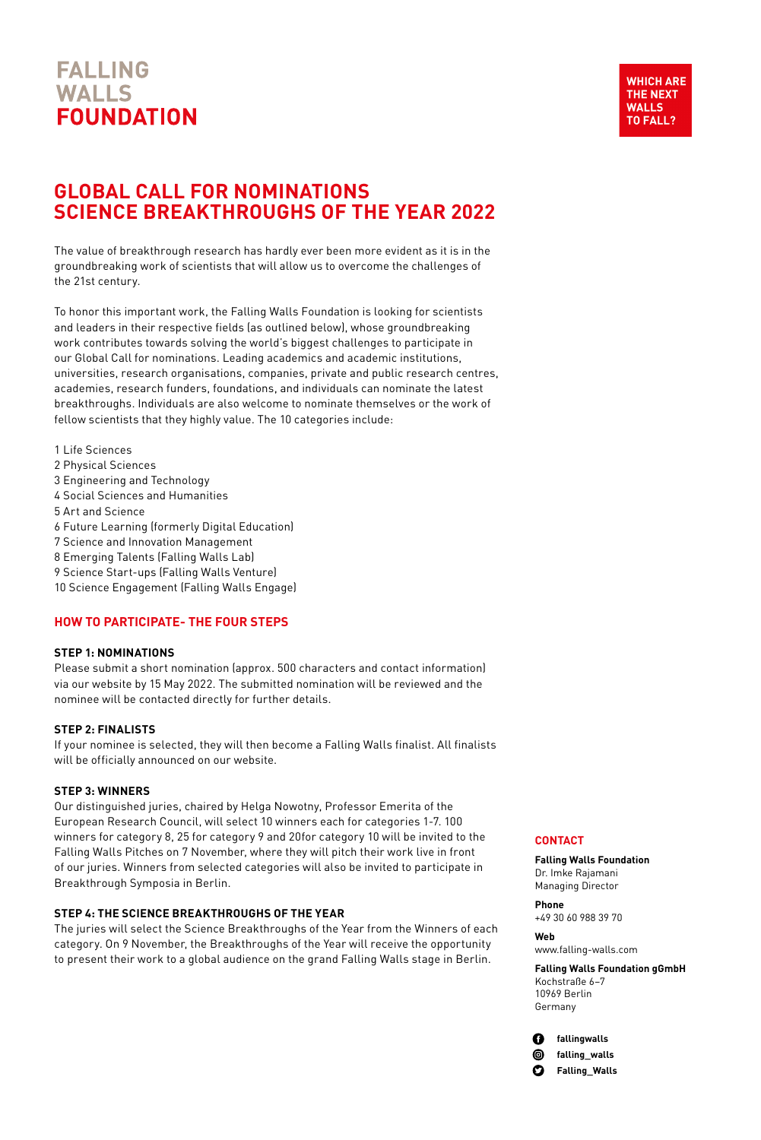# **FALLING WALLS FOUNDATION**



## **GLOBAL CALL FOR NOMINATIONS SCIENCE BREAKTHROUGHS OF THE YEAR 2022**

The value of breakthrough research has hardly ever been more evident as it is in the groundbreaking work of scientists that will allow us to overcome the challenges of the 21st century.

To honor this important work, the Falling Walls Foundation is looking for scientists and leaders in their respective fields (as outlined below), whose groundbreaking work contributes towards solving the world's biggest challenges to participate in our Global Call for nominations. Leading academics and academic institutions, universities, research organisations, companies, private and public research centres, academies, research funders, foundations, and individuals can nominate the latest breakthroughs. Individuals are also welcome to nominate themselves or the work of fellow scientists that they highly value. The 10 categories include:

1 Life Sciences 2 Physical Sciences 3 Engineering and Technology 4 Social Sciences and Humanities 5 Art and Science 6 Future Learning (formerly Digital Education) 7 Science and Innovation Management 8 Emerging Talents (Falling Walls Lab)

- 9 Science Start-ups (Falling Walls Venture)
- 10 Science Engagement (Falling Walls Engage)

## **HOW TO PARTICIPATE- THE FOUR STEPS**

### **STEP 1: NOMINATIONS**

Please submit a short nomination (approx. 500 characters and contact information) via our website by 15 May 2022. The submitted nomination will be reviewed and the nominee will be contacted directly for further details.

#### **STEP 2: FINALISTS**

If your nominee is selected, they will then become a Falling Walls finalist. All finalists will be officially announced on our website.

#### **STEP 3: WINNERS**

Our distinguished juries, chaired by Helga Nowotny, Professor Emerita of the European Research Council, will select 10 winners each for categories 1-7. 100 winners for category 8, 25 for category 9 and 20for category 10 will be invited to the Falling Walls Pitches on 7 November, where they will pitch their work live in front of our juries. Winners from selected categories will also be invited to participate in Breakthrough Symposia in Berlin.

### **STEP 4: THE SCIENCE BREAKTHROUGHS OF THE YEAR**

The juries will select the Science Breakthroughs of the Year from the Winners of each category. On 9 November, the Breakthroughs of the Year will receive the opportunity to present their work to a global audience on the grand Falling Walls stage in Berlin.

#### **CONTACT**

**Falling Walls Foundation** Dr. Imke Rajamani Managing Director

**Phone** +49 30 60 988 39 70

**Web**  www.falling-walls.com

**Falling Walls Foundation gGmbH** Kochstraße 6–7 10969 Berlin Germany